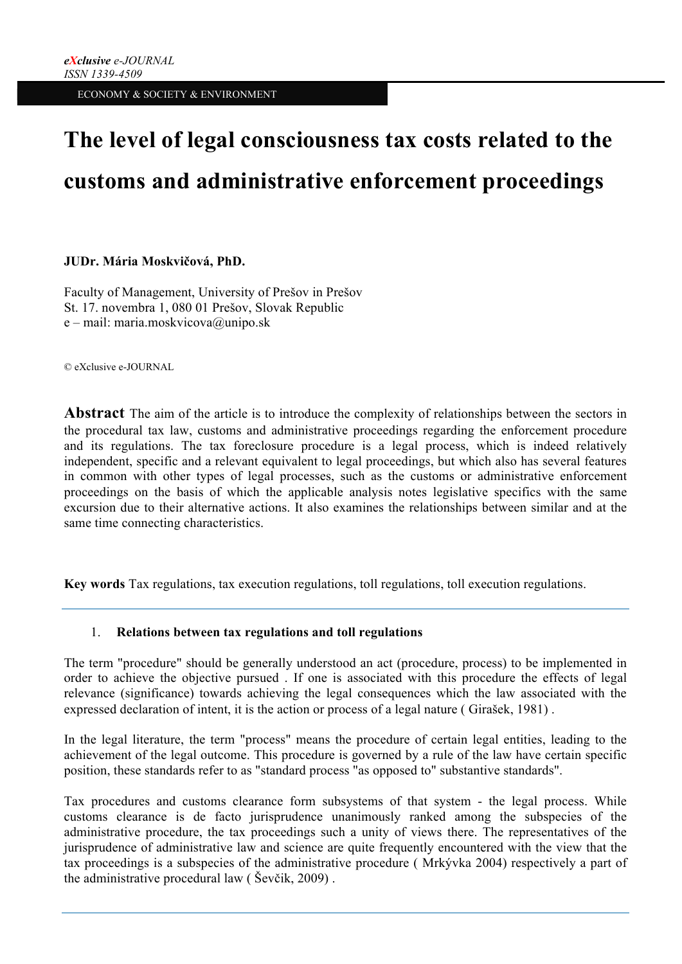# **The level of legal consciousness tax costs related to the customs and administrative enforcement proceedings**

# **JUDr. Mária Moskvičová, PhD.**

Faculty of Management, University of Prešov in Prešov St. 17. novembra 1, 080 01 Prešov, Slovak Republic e – mail: maria.moskvicova@unipo.sk

© eXclusive e-JOURNAL

**Abstract** The aim of the article is to introduce the complexity of relationships between the sectors in the procedural tax law, customs and administrative proceedings regarding the enforcement procedure and its regulations. The tax foreclosure procedure is a legal process, which is indeed relatively independent, specific and a relevant equivalent to legal proceedings, but which also has several features in common with other types of legal processes, such as the customs or administrative enforcement proceedings on the basis of which the applicable analysis notes legislative specifics with the same excursion due to their alternative actions. It also examines the relationships between similar and at the same time connecting characteristics.

**Key words** Tax regulations, tax execution regulations, toll regulations, toll execution regulations.

# 1. **Relations between tax regulations and toll regulations**

The term "procedure" should be generally understood an act (procedure, process) to be implemented in order to achieve the objective pursued . If one is associated with this procedure the effects of legal relevance (significance) towards achieving the legal consequences which the law associated with the expressed declaration of intent, it is the action or process of a legal nature ( Girašek, 1981) .

In the legal literature, the term "process" means the procedure of certain legal entities, leading to the achievement of the legal outcome. This procedure is governed by a rule of the law have certain specific position, these standards refer to as "standard process "as opposed to" substantive standards".

Tax procedures and customs clearance form subsystems of that system - the legal process. While customs clearance is de facto jurisprudence unanimously ranked among the subspecies of the administrative procedure, the tax proceedings such a unity of views there. The representatives of the jurisprudence of administrative law and science are quite frequently encountered with the view that the tax proceedings is a subspecies of the administrative procedure ( Mrkývka 2004) respectively a part of the administrative procedural law ( Ševčik, 2009) .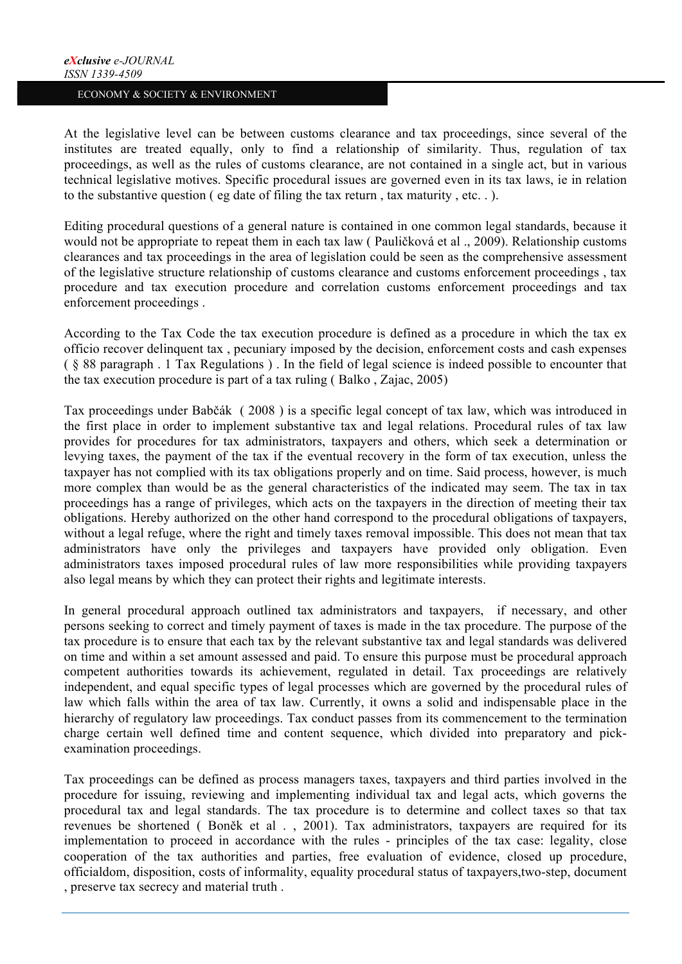At the legislative level can be between customs clearance and tax proceedings, since several of the institutes are treated equally, only to find a relationship of similarity. Thus, regulation of tax proceedings, as well as the rules of customs clearance, are not contained in a single act, but in various technical legislative motives. Specific procedural issues are governed even in its tax laws, ie in relation to the substantive question ( eg date of filing the tax return , tax maturity , etc. . ).

Editing procedural questions of a general nature is contained in one common legal standards, because it would not be appropriate to repeat them in each tax law ( Pauličková et al ., 2009). Relationship customs clearances and tax proceedings in the area of legislation could be seen as the comprehensive assessment of the legislative structure relationship of customs clearance and customs enforcement proceedings , tax procedure and tax execution procedure and correlation customs enforcement proceedings and tax enforcement proceedings .

According to the Tax Code the tax execution procedure is defined as a procedure in which the tax ex officio recover delinquent tax , pecuniary imposed by the decision, enforcement costs and cash expenses ( § 88 paragraph . 1 Tax Regulations ) . In the field of legal science is indeed possible to encounter that the tax execution procedure is part of a tax ruling ( Balko , Zajac, 2005)

Tax proceedings under Babčák ( 2008 ) is a specific legal concept of tax law, which was introduced in the first place in order to implement substantive tax and legal relations. Procedural rules of tax law provides for procedures for tax administrators, taxpayers and others, which seek a determination or levying taxes, the payment of the tax if the eventual recovery in the form of tax execution, unless the taxpayer has not complied with its tax obligations properly and on time. Said process, however, is much more complex than would be as the general characteristics of the indicated may seem. The tax in tax proceedings has a range of privileges, which acts on the taxpayers in the direction of meeting their tax obligations. Hereby authorized on the other hand correspond to the procedural obligations of taxpayers, without a legal refuge, where the right and timely taxes removal impossible. This does not mean that tax administrators have only the privileges and taxpayers have provided only obligation. Even administrators taxes imposed procedural rules of law more responsibilities while providing taxpayers also legal means by which they can protect their rights and legitimate interests.

In general procedural approach outlined tax administrators and taxpayers, if necessary, and other persons seeking to correct and timely payment of taxes is made in the tax procedure. The purpose of the tax procedure is to ensure that each tax by the relevant substantive tax and legal standards was delivered on time and within a set amount assessed and paid. To ensure this purpose must be procedural approach competent authorities towards its achievement, regulated in detail. Tax proceedings are relatively independent, and equal specific types of legal processes which are governed by the procedural rules of law which falls within the area of tax law. Currently, it owns a solid and indispensable place in the hierarchy of regulatory law proceedings. Tax conduct passes from its commencement to the termination charge certain well defined time and content sequence, which divided into preparatory and pickexamination proceedings.

Tax proceedings can be defined as process managers taxes, taxpayers and third parties involved in the procedure for issuing, reviewing and implementing individual tax and legal acts, which governs the procedural tax and legal standards. The tax procedure is to determine and collect taxes so that tax revenues be shortened ( Boněk et al . , 2001). Tax administrators, taxpayers are required for its implementation to proceed in accordance with the rules - principles of the tax case: legality, close cooperation of the tax authorities and parties, free evaluation of evidence, closed up procedure, officialdom, disposition, costs of informality, equality procedural status of taxpayers,two-step, document , preserve tax secrecy and material truth .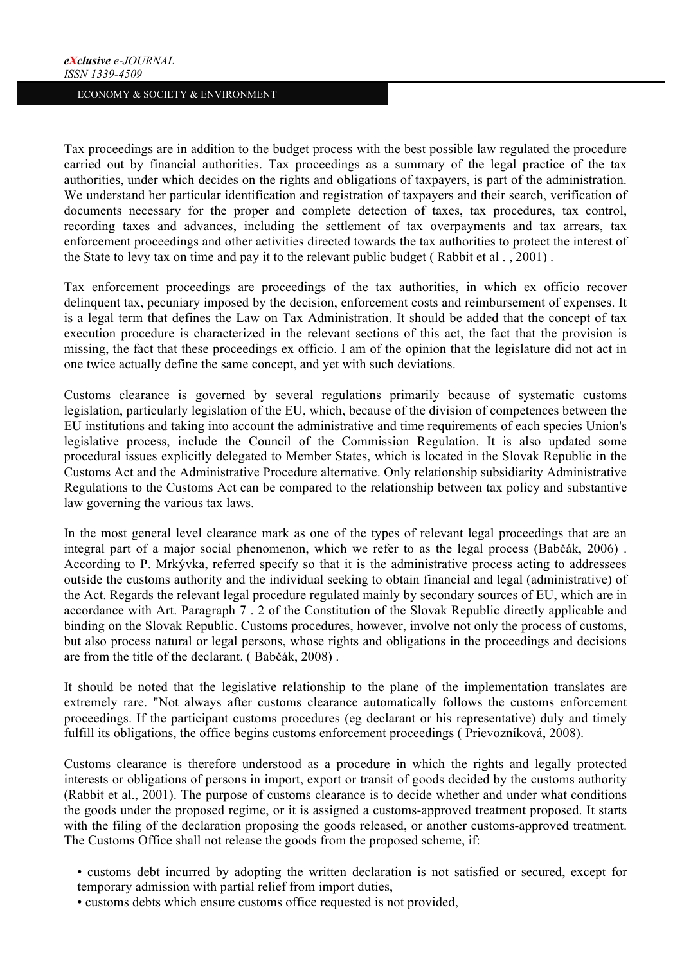Tax proceedings are in addition to the budget process with the best possible law regulated the procedure carried out by financial authorities. Tax proceedings as a summary of the legal practice of the tax authorities, under which decides on the rights and obligations of taxpayers, is part of the administration. We understand her particular identification and registration of taxpayers and their search, verification of documents necessary for the proper and complete detection of taxes, tax procedures, tax control, recording taxes and advances, including the settlement of tax overpayments and tax arrears, tax enforcement proceedings and other activities directed towards the tax authorities to protect the interest of the State to levy tax on time and pay it to the relevant public budget ( Rabbit et al . , 2001) .

Tax enforcement proceedings are proceedings of the tax authorities, in which ex officio recover delinquent tax, pecuniary imposed by the decision, enforcement costs and reimbursement of expenses. It is a legal term that defines the Law on Tax Administration. It should be added that the concept of tax execution procedure is characterized in the relevant sections of this act, the fact that the provision is missing, the fact that these proceedings ex officio. I am of the opinion that the legislature did not act in one twice actually define the same concept, and yet with such deviations.

Customs clearance is governed by several regulations primarily because of systematic customs legislation, particularly legislation of the EU, which, because of the division of competences between the EU institutions and taking into account the administrative and time requirements of each species Union's legislative process, include the Council of the Commission Regulation. It is also updated some procedural issues explicitly delegated to Member States, which is located in the Slovak Republic in the Customs Act and the Administrative Procedure alternative. Only relationship subsidiarity Administrative Regulations to the Customs Act can be compared to the relationship between tax policy and substantive law governing the various tax laws.

In the most general level clearance mark as one of the types of relevant legal proceedings that are an integral part of a major social phenomenon, which we refer to as the legal process (Babčák, 2006) . According to P. Mrkývka, referred specify so that it is the administrative process acting to addressees outside the customs authority and the individual seeking to obtain financial and legal (administrative) of the Act. Regards the relevant legal procedure regulated mainly by secondary sources of EU, which are in accordance with Art. Paragraph 7 . 2 of the Constitution of the Slovak Republic directly applicable and binding on the Slovak Republic. Customs procedures, however, involve not only the process of customs, but also process natural or legal persons, whose rights and obligations in the proceedings and decisions are from the title of the declarant. ( Babčák, 2008) .

It should be noted that the legislative relationship to the plane of the implementation translates are extremely rare. "Not always after customs clearance automatically follows the customs enforcement proceedings. If the participant customs procedures (eg declarant or his representative) duly and timely fulfill its obligations, the office begins customs enforcement proceedings (Prievozníková, 2008).

Customs clearance is therefore understood as a procedure in which the rights and legally protected interests or obligations of persons in import, export or transit of goods decided by the customs authority (Rabbit et al., 2001). The purpose of customs clearance is to decide whether and under what conditions the goods under the proposed regime, or it is assigned a customs-approved treatment proposed. It starts with the filing of the declaration proposing the goods released, or another customs-approved treatment. The Customs Office shall not release the goods from the proposed scheme, if:

- customs debt incurred by adopting the written declaration is not satisfied or secured, except for temporary admission with partial relief from import duties,
- customs debts which ensure customs office requested is not provided,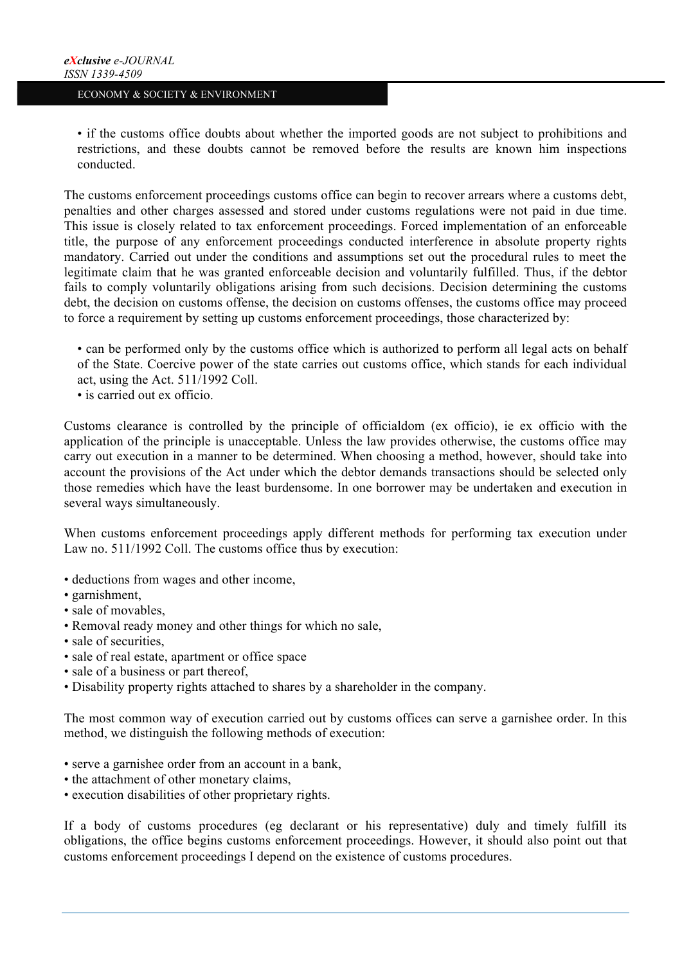• if the customs office doubts about whether the imported goods are not subject to prohibitions and restrictions, and these doubts cannot be removed before the results are known him inspections conducted.

The customs enforcement proceedings customs office can begin to recover arrears where a customs debt, penalties and other charges assessed and stored under customs regulations were not paid in due time. This issue is closely related to tax enforcement proceedings. Forced implementation of an enforceable title, the purpose of any enforcement proceedings conducted interference in absolute property rights mandatory. Carried out under the conditions and assumptions set out the procedural rules to meet the legitimate claim that he was granted enforceable decision and voluntarily fulfilled. Thus, if the debtor fails to comply voluntarily obligations arising from such decisions. Decision determining the customs debt, the decision on customs offense, the decision on customs offenses, the customs office may proceed to force a requirement by setting up customs enforcement proceedings, those characterized by:

• can be performed only by the customs office which is authorized to perform all legal acts on behalf of the State. Coercive power of the state carries out customs office, which stands for each individual act, using the Act. 511/1992 Coll.

• is carried out ex officio.

Customs clearance is controlled by the principle of officialdom (ex officio), ie ex officio with the application of the principle is unacceptable. Unless the law provides otherwise, the customs office may carry out execution in a manner to be determined. When choosing a method, however, should take into account the provisions of the Act under which the debtor demands transactions should be selected only those remedies which have the least burdensome. In one borrower may be undertaken and execution in several ways simultaneously.

When customs enforcement proceedings apply different methods for performing tax execution under Law no. 511/1992 Coll. The customs office thus by execution:

- deductions from wages and other income,
- garnishment,
- sale of movables,
- Removal ready money and other things for which no sale,
- sale of securities,
- sale of real estate, apartment or office space
- sale of a business or part thereof,
- Disability property rights attached to shares by a shareholder in the company.

The most common way of execution carried out by customs offices can serve a garnishee order. In this method, we distinguish the following methods of execution:

- serve a garnishee order from an account in a bank,
- the attachment of other monetary claims,
- execution disabilities of other proprietary rights.

If a body of customs procedures (eg declarant or his representative) duly and timely fulfill its obligations, the office begins customs enforcement proceedings. However, it should also point out that customs enforcement proceedings I depend on the existence of customs procedures.